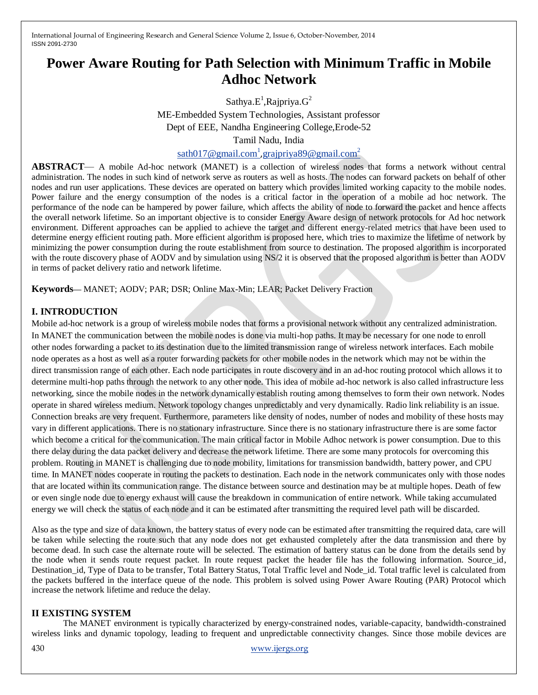# **Power Aware Routing for Path Selection with Minimum Traffic in Mobile Adhoc Network**

Sathya. $E^1$ , Rajpriya. $G^2$ 

ME-Embedded System Technologies, Assistant professor Dept of EEE, Nandha Engineering College,Erode-52 Tamil Nadu, India

[sath017@gmail.com](mailto:sath017@gmail.com1)<sup>1</sup>,[grajpriya89@gmail.com](mailto:grajpriya89@gmail.com2)<sup>2</sup>

**ABSTRACT**— A mobile Ad-hoc network (MANET) is a collection of wireless nodes that forms a network without central administration. The nodes in such kind of network serve as routers as well as hosts. The nodes can forward packets on behalf of other nodes and run user applications. These devices are operated on battery which provides limited working capacity to the mobile nodes. Power failure and the energy consumption of the nodes is a critical factor in the operation of a mobile ad hoc network. The performance of the node can be hampered by power failure, which affects the ability of node to forward the packet and hence affects the overall network lifetime. So an important objective is to consider Energy Aware design of network protocols for Ad hoc network environment. Different approaches can be applied to achieve the target and different energy-related metrics that have been used to determine energy efficient routing path. More efficient algorithm is proposed here, which tries to maximize the lifetime of network by minimizing the power consumption during the route establishment from source to destination. The proposed algorithm is incorporated with the route discovery phase of AODV and by simulation using NS/2 it is observed that the proposed algorithm is better than AODV in terms of packet delivery ratio and network lifetime.

**Keywords***—* MANET; AODV; PAR; DSR; Online Max-Min; LEAR; Packet Delivery Fraction

# **I. INTRODUCTION**

Mobile ad-hoc network is a group of wireless mobile nodes that forms a provisional network without any centralized administration. In MANET the communication between the mobile nodes is done via multi-hop paths. It may be necessary for one node to enroll other nodes forwarding a packet to its destination due to the limited transmission range of wireless network interfaces. Each mobile node operates as a host as well as a router forwarding packets for other mobile nodes in the network which may not be within the direct transmission range of each other. Each node participates in route discovery and in an ad-hoc routing protocol which allows it to determine multi-hop paths through the network to any other node. This idea of mobile ad-hoc network is also called infrastructure less networking, since the mobile nodes in the network dynamically establish routing among themselves to form their own network. Nodes operate in shared wireless medium. Network topology changes unpredictably and very dynamically. Radio link reliability is an issue. Connection breaks are very frequent. Furthermore, parameters like density of nodes, number of nodes and mobility of these hosts may vary in different applications. There is no stationary infrastructure. Since there is no stationary infrastructure there is are some factor which become a critical for the communication. The main critical factor in Mobile Adhoc network is power consumption. Due to this there delay during the data packet delivery and decrease the network lifetime. There are some many protocols for overcoming this problem. Routing in MANET is challenging due to node mobility, limitations for transmission bandwidth, battery power, and CPU time. In MANET nodes cooperate in routing the packets to destination. Each node in the network communicates only with those nodes that are located within its communication range. The distance between source and destination may be at multiple hopes. Death of few or even single node due to energy exhaust will cause the breakdown in communication of entire network. While taking accumulated energy we will check the status of each node and it can be estimated after transmitting the required level path will be discarded.

Also as the type and size of data known, the battery status of every node can be estimated after transmitting the required data, care will be taken while selecting the route such that any node does not get exhausted completely after the data transmission and there by become dead. In such case the alternate route will be selected. The estimation of battery status can be done from the details send by the node when it sends route request packet. In route request packet the header file has the following information. Source\_id, Destination\_id, Type of Data to be transfer, Total Battery Status, Total Traffic level and Node\_id. Total traffic level is calculated from the packets buffered in the interface queue of the node. This problem is solved using Power Aware Routing (PAR) Protocol which increase the network lifetime and reduce the delay.

# **II EXISTING SYSTEM**

The MANET environment is typically characterized by energy-constrained nodes, variable-capacity, bandwidth-constrained wireless links and dynamic topology, leading to frequent and unpredictable connectivity changes. Since those mobile devices are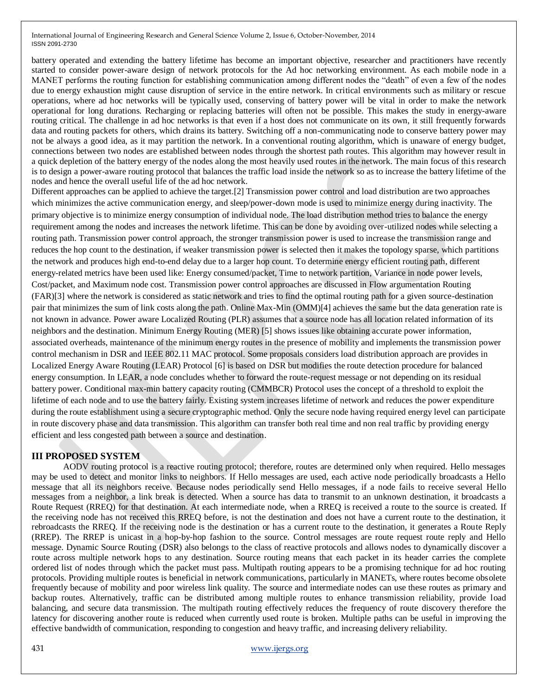battery operated and extending the battery lifetime has become an important objective, researcher and practitioners have recently started to consider power-aware design of network protocols for the Ad hoc networking environment. As each mobile node in a MANET performs the routing function for establishing communication among different nodes the "death" of even a few of the nodes due to energy exhaustion might cause disruption of service in the entire network. In critical environments such as military or rescue operations, where ad hoc networks will be typically used, conserving of battery power will be vital in order to make the network operational for long durations. Recharging or replacing batteries will often not be possible. This makes the study in energy-aware routing critical. The challenge in ad hoc networks is that even if a host does not communicate on its own, it still frequently forwards data and routing packets for others, which drains its battery. Switching off a non-communicating node to conserve battery power may not be always a good idea, as it may partition the network. In a conventional routing algorithm, which is unaware of energy budget, connections between two nodes are established between nodes through the shortest path routes. This algorithm may however result in a quick depletion of the battery energy of the nodes along the most heavily used routes in the network. The main focus of this research is to design a power-aware routing protocol that balances the traffic load inside the network so as to increase the battery lifetime of the nodes and hence the overall useful life of the ad hoc network.

Different approaches can be applied to achieve the target.[2] Transmission power control and load distribution are two approaches which minimizes the active communication energy, and sleep/power-down mode is used to minimize energy during inactivity. The primary objective is to minimize energy consumption of individual node. The load distribution method tries to balance the energy requirement among the nodes and increases the network lifetime. This can be done by avoiding over-utilized nodes while selecting a routing path. Transmission power control approach, the stronger transmission power is used to increase the transmission range and reduces the hop count to the destination, if weaker transmission power is selected then it makes the topology sparse, which partitions the network and produces high end-to-end delay due to a larger hop count. To determine energy efficient routing path, different energy-related metrics have been used like: Energy consumed/packet, Time to network partition, Variance in node power levels, Cost/packet, and Maximum node cost. Transmission power control approaches are discussed in Flow argumentation Routing (FAR)[3] where the network is considered as static network and tries to find the optimal routing path for a given source-destination pair that minimizes the sum of link costs along the path. Online Max-Min (OMM)[4] achieves the same but the data generation rate is not known in advance. Power aware Localized Routing (PLR) assumes that a source node has all location related information of its neighbors and the destination. Minimum Energy Routing (MER) [5] shows issues like obtaining accurate power information, associated overheads, maintenance of the minimum energy routes in the presence of mobility and implements the transmission power control mechanism in DSR and IEEE 802.11 MAC protocol. Some proposals considers load distribution approach are provides in Localized Energy Aware Routing (LEAR) Protocol [6] is based on DSR but modifies the route detection procedure for balanced energy consumption. In LEAR, a node concludes whether to forward the route-request message or not depending on its residual battery power. Conditional max-min battery capacity routing (CMMBCR) Protocol uses the concept of a threshold to exploit the lifetime of each node and to use the battery fairly. Existing system increases lifetime of network and reduces the power expenditure during the route establishment using a secure cryptographic method. Only the secure node having required energy level can participate in route discovery phase and data transmission. This algorithm can transfer both real time and non real traffic by providing energy efficient and less congested path between a source and destination.

# **III PROPOSED SYSTEM**

AODV routing protocol is a reactive routing protocol; therefore, routes are determined only when required. Hello messages may be used to detect and monitor links to neighbors. If Hello messages are used, each active node periodically broadcasts a Hello message that all its neighbors receive. Because nodes periodically send Hello messages, if a node fails to receive several Hello messages from a neighbor, a link break is detected. When a source has data to transmit to an unknown destination, it broadcasts a Route Request (RREQ) for that destination. At each intermediate node, when a RREQ is received a route to the source is created. If the receiving node has not received this RREQ before, is not the destination and does not have a current route to the destination, it rebroadcasts the RREQ. If the receiving node is the destination or has a current route to the destination, it generates a Route Reply (RREP). The RREP is unicast in a hop-by-hop fashion to the source. Control messages are route request route reply and Hello message. Dynamic Source Routing (DSR) also belongs to the class of reactive protocols and allows nodes to dynamically discover a route across multiple network hops to any destination. Source routing means that each packet in its header carries the complete ordered list of nodes through which the packet must pass. Multipath routing appears to be a promising technique for ad hoc routing protocols. Providing multiple routes is beneficial in network communications, particularly in MANETs, where routes become obsolete frequently because of mobility and poor wireless link quality. The source and intermediate nodes can use these routes as primary and backup routes. Alternatively, traffic can be distributed among multiple routes to enhance transmission reliability, provide load balancing, and secure data transmission. The multipath routing effectively reduces the frequency of route discovery therefore the latency for discovering another route is reduced when currently used route is broken. Multiple paths can be useful in improving the effective bandwidth of communication, responding to congestion and heavy traffic, and increasing delivery reliability.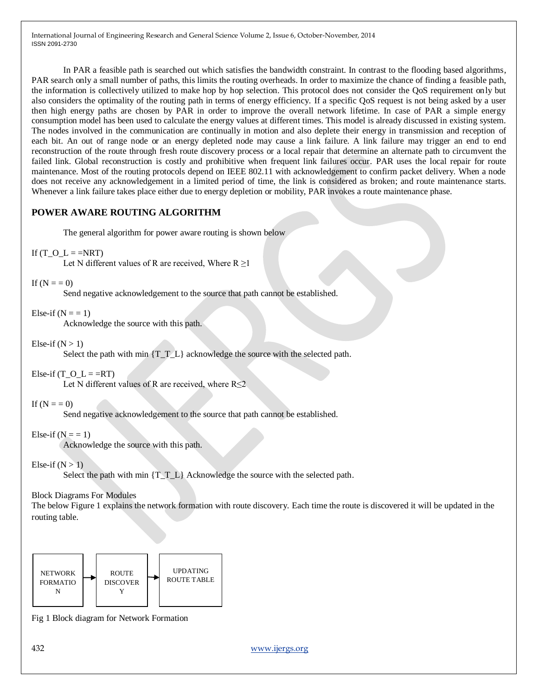In PAR a feasible path is searched out which satisfies the bandwidth constraint. In contrast to the flooding based algorithms, PAR search only a small number of paths, this limits the routing overheads. In order to maximize the chance of finding a feasible path, the information is collectively utilized to make hop by hop selection. This protocol does not consider the QoS requirement only but also considers the optimality of the routing path in terms of energy efficiency. If a specific QoS request is not being asked by a user then high energy paths are chosen by PAR in order to improve the overall network lifetime. In case of PAR a simple energy consumption model has been used to calculate the energy values at different times. This model is already discussed in existing system. The nodes involved in the communication are continually in motion and also deplete their energy in transmission and reception of each bit. An out of range node or an energy depleted node may cause a link failure. A link failure may trigger an end to end reconstruction of the route through fresh route discovery process or a local repair that determine an alternate path to circumvent the failed link. Global reconstruction is costly and prohibitive when frequent link failures occur. PAR uses the local repair for route maintenance. Most of the routing protocols depend on IEEE 802.11 with acknowledgement to confirm packet delivery. When a node does not receive any acknowledgement in a limited period of time, the link is considered as broken; and route maintenance starts. Whenever a link failure takes place either due to energy depletion or mobility, PAR invokes a route maintenance phase.

# **POWER AWARE ROUTING ALGORITHM**

The general algorithm for power aware routing is shown below

#### If (T\_O\_L = =NRT)

Let N different values of R are received, Where  $R \ge 1$ 

```
If (N = 0)
```
Send negative acknowledgement to the source that path cannot be established.

# Else-if  $(N = 1)$

Acknowledge the source with this path.

Else-if  $(N > 1)$ 

Select the path with min  $\{T, T, L\}$  acknowledge the source with the selected path.

Else-if (T\_O\_L = =RT)

Let N different values of R are received, where  $R \le 2$ 

If  $(N = 0)$ 

Send negative acknowledgement to the source that path cannot be established.

# Else-if  $(N = 1)$

Acknowledge the source with this path.

# Else-if  $(N > 1)$

Select the path with min  $\{T, T, L\}$  Acknowledge the source with the selected path.

#### Block Diagrams For Modules

The below Figure 1 explains the network formation with route discovery. Each time the route is discovered it will be updated in the routing table.



Fig 1 Block diagram for Network Formation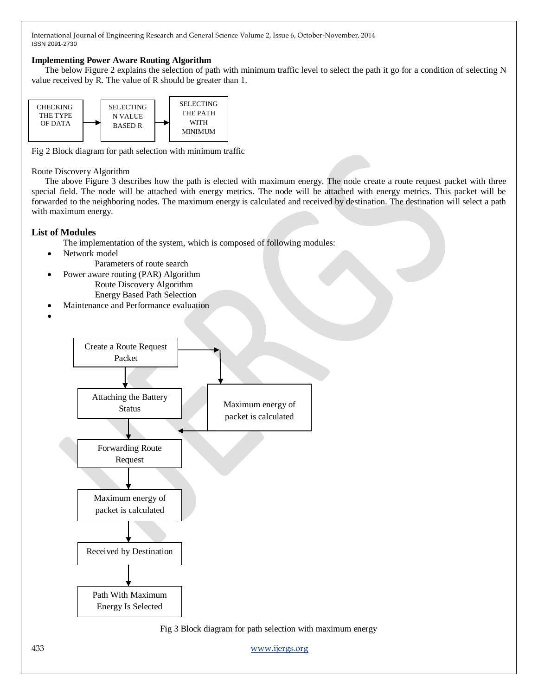#### **Implementing Power Aware Routing Algorithm**

The below Figure 2 explains the selection of path with minimum traffic level to select the path it go for a condition of selecting N value received by R. The value of R should be greater than 1.



Fig 2 Block diagram for path selection with minimum traffic

#### Route Discovery Algorithm

The above Figure 3 describes how the path is elected with maximum energy. The node create a route request packet with three special field. The node will be attached with energy metrics. The node will be attached with energy metrics. This packet will be forwarded to the neighboring nodes. The maximum energy is calculated and received by destination. The destination will select a path with maximum energy.

# **List of Modules**

- The implementation of the system, which is composed of following modules:
- Network model
	- Parameters of route search
- Power aware routing (PAR) Algorithm Route Discovery Algorithm Energy Based Path Selection
- Maintenance and Performance evaluation
- $\bullet$



Fig 3 Block diagram for path selection with maximum energy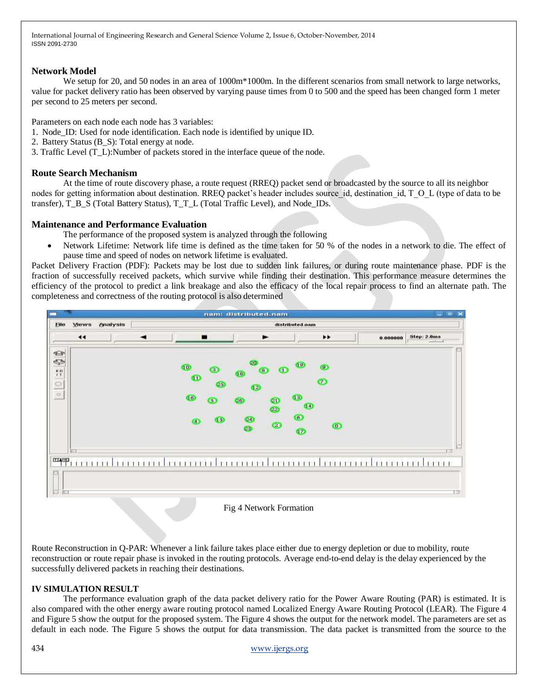### **Network Model**

We setup for 20, and 50 nodes in an area of 1000m<sup>\*</sup>1000m. In the different scenarios from small network to large networks, value for packet delivery ratio has been observed by varying pause times from 0 to 500 and the speed has been changed form 1 meter per second to 25 meters per second.

Parameters on each node each node has 3 variables:

- 1. Node\_ID: Used for node identification. Each node is identified by unique ID.
- 2. Battery Status (B\_S): Total energy at node.
- 3. Traffic Level (T\_L):Number of packets stored in the interface queue of the node.

### **Route Search Mechanism**

At the time of route discovery phase, a route request (RREQ) packet send or broadcasted by the source to all its neighbor nodes for getting information about destination. RREQ packet's header includes source id, destination id, T\_O\_L (type of data to be transfer), T\_B\_S (Total Battery Status), T\_T\_L (Total Traffic Level), and Node\_IDs.

#### **Maintenance and Performance Evaluation**

- The performance of the proposed system is analyzed through the following
- Network Lifetime: Network life time is defined as the time taken for 50 % of the nodes in a network to die. The effect of pause time and speed of nodes on network lifetime is evaluated.

Packet Delivery Fraction (PDF): Packets may be lost due to sudden link failures, or during route maintenance phase. PDF is the fraction of successfully received packets, which survive while finding their destination. This performance measure determines the efficiency of the protocol to predict a link breakage and also the efficacy of the local repair process to find an alternate path. The completeness and correctness of the routing protocol is also determined



Fig 4 Network Formation

Route Reconstruction in Q-PAR: Whenever a link failure takes place either due to energy depletion or due to mobility, route reconstruction or route repair phase is invoked in the routing protocols. Average end-to-end delay is the delay experienced by the successfully delivered packets in reaching their destinations.

# **IV SIMULATION RESULT**

The performance evaluation graph of the data packet delivery ratio for the Power Aware Routing (PAR) is estimated. It is also compared with the other energy aware routing protocol named Localized Energy Aware Routing Protocol (LEAR). The Figure 4 and Figure 5 show the output for the proposed system. The Figure 4 shows the output for the network model. The parameters are set as default in each node. The Figure 5 shows the output for data transmission. The data packet is transmitted from the source to the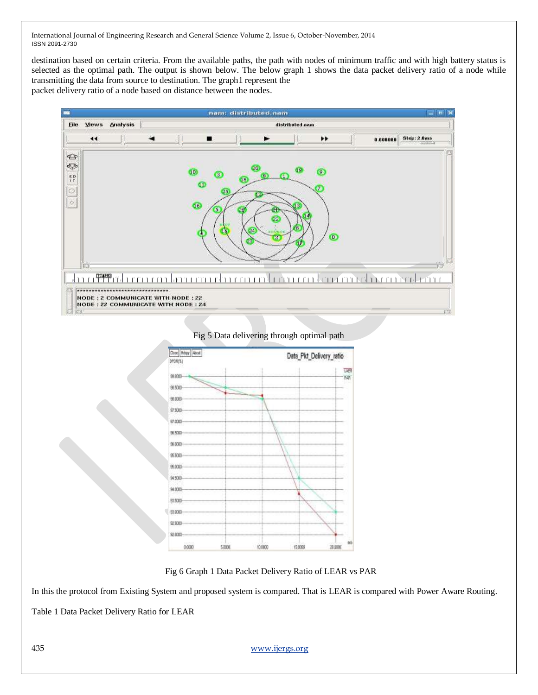destination based on certain criteria. From the available paths, the path with nodes of minimum traffic and with high battery status is selected as the optimal path. The output is shown below. The below graph 1 shows the data packet delivery ratio of a node while transmitting the data from source to destination. The graph1 represent the

packet delivery ratio of a node based on distance between the nodes.



Fig 5 Data delivering through optimal path



Fig 6 Graph 1 Data Packet Delivery Ratio of LEAR vs PAR

In this the protocol from Existing System and proposed system is compared. That is LEAR is compared with Power Aware Routing.

Table 1 Data Packet Delivery Ratio for LEAR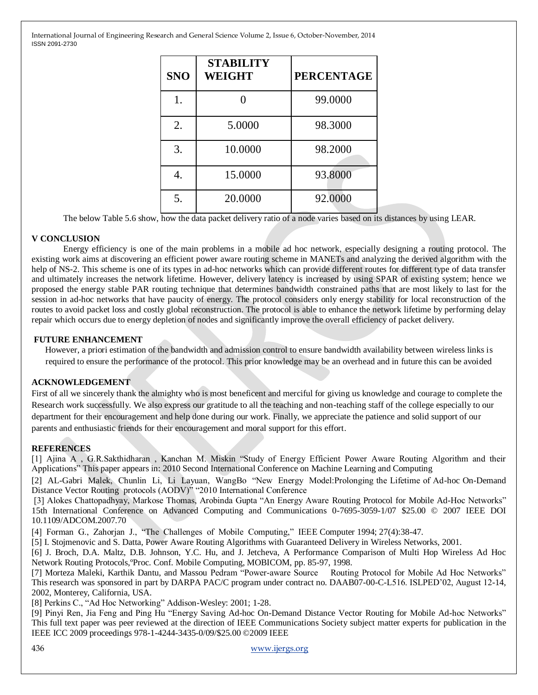| <b>SNO</b> | <b>STABILITY</b><br><b>WEIGHT</b> | <b>PERCENTAGE</b> |
|------------|-----------------------------------|-------------------|
| 1.         |                                   | 99.0000           |
| 2.         | 5.0000                            | 98.3000           |
| 3.         | 10.0000                           | 98.2000           |
|            | 15.0000                           | 93.8000           |
| 5.         | 20.0000                           | 92.0000           |

The below Table 5.6 show, how the data packet delivery ratio of a node varies based on its distances by using LEAR.

# **V CONCLUSION**

Energy efficiency is one of the main problems in a mobile ad hoc network, especially designing a routing protocol. The existing work aims at discovering an efficient power aware routing scheme in MANETs and analyzing the derived algorithm with the help of NS-2. This scheme is one of its types in ad-hoc networks which can provide different routes for different type of data transfer and ultimately increases the network lifetime. However, delivery latency is increased by using SPAR of existing system; hence we proposed the energy stable PAR routing technique that determines bandwidth constrained paths that are most likely to last for the session in ad-hoc networks that have paucity of energy. The protocol considers only energy stability for local reconstruction of the routes to avoid packet loss and costly global reconstruction. The protocol is able to enhance the network lifetime by performing delay repair which occurs due to energy depletion of nodes and significantly improve the overall efficiency of packet delivery.

# **FUTURE ENHANCEMENT**

However, a priori estimation of the bandwidth and admission control to ensure bandwidth availability between wireless links is required to ensure the performance of the protocol. This prior knowledge may be an overhead and in future this can be avoided

#### **ACKNOWLEDGEMENT**

First of all we sincerely thank the almighty who is most beneficent and merciful for giving us knowledge and courage to complete the Research work successfully. We also express our gratitude to all the teaching and non-teaching staff of the college especially to our department for their encouragement and help done during our work. Finally, we appreciate the patience and solid support of our parents and enthusiastic friends for their encouragement and moral support for this effort.

# **REFERENCES**

[1] Ajina A , G.R.Sakthidharan , Kanchan M. Miskin "Study of Energy Efficient Power Aware Routing Algorithm and their Applications" This paper appears in: 2010 Second International Conference on Machine Learning and Computing

[2] AL-Gabri Malek, Chunlin Li, Li Layuan, WangBo "New Energy Model:Prolonging the Lifetime of Ad-hoc On-Demand Distance Vector Routing protocols (AODV)" "2010 International Conference

[3] Alokes Chattopadhyay, Markose Thomas, Arobinda Gupta "An Energy Aware Routing Protocol for Mobile Ad-Hoc Networks" 15th International Conference on Advanced Computing and Communications 0-7695-3059-1/07 \$25.00 © 2007 IEEE DOI 10.1109/ADCOM.2007.70

[4] Forman G., Zahorjan J., "The Challenges of Mobile Computing," IEEE Computer 1994; 27(4):38-47.

[5] I. Stojmenovic and S. Datta, Power Aware Routing Algorithms with Guaranteed Delivery in Wireless Networks, 2001.

[6] J. Broch, D.A. Maltz, D.B. Johnson, Y.C. Hu, and J. Jetcheva, A Performance Comparison of Multi Hop Wireless Ad Hoc Network Routing Protocols,ºProc. Conf. Mobile Computing, MOBICOM, pp. 85-97, 1998.

[7] Morteza Maleki, Karthik Dantu, and Massou Pedram "Power-aware Source Routing Protocol for Mobile Ad Hoc Networks" This research was sponsored in part by DARPA PAC/C program under contract no. DAAB07-00-C-L516. ISLPED'02, August 12-14, 2002, Monterey, California, USA.

[8] Perkins C., "Ad Hoc Networking" Addison-Wesley: 2001; 1-28.

[9] Pinyi Ren, Jia Feng and Ping Hu "Energy Saving Ad-hoc On-Demand Distance Vector Routing for Mobile Ad-hoc Networks" This full text paper was peer reviewed at the direction of IEEE Communications Society subject matter experts for publication in the IEEE ICC 2009 proceedings 978-1-4244-3435-0/09/\$25.00 ©2009 IEEE